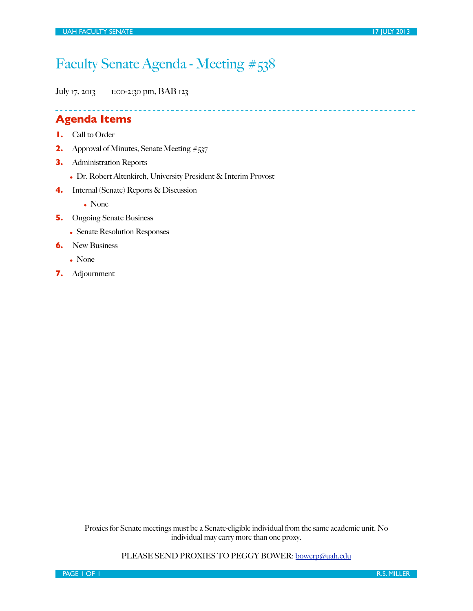## Faculty Senate Agenda - Meeting #538

July 17, 2013 1:00-2:30 pm, BAB 123

## **Agenda Items**

- **1.** Call to Order
- **2.** Approval of Minutes, Senate Meeting #537
- **3.** Administration Reports
	- Dr. Robert Altenkirch, University President & Interim Provost
- **4.** Internal (Senate) Reports & Discussion

• None

- **5.** Ongoing Senate Business
	- Senate Resolution Responses
- **6.** New Business
	- None
- **7.** Adjournment

Proxies for Senate meetings must be a Senate-eligible individual from the same academic unit. No individual may carry more than one proxy.

PLEASE SEND PROXIES TO PEGGY BOWER: [bowerp@uah.edu](mailto:bowerp@uah.edu)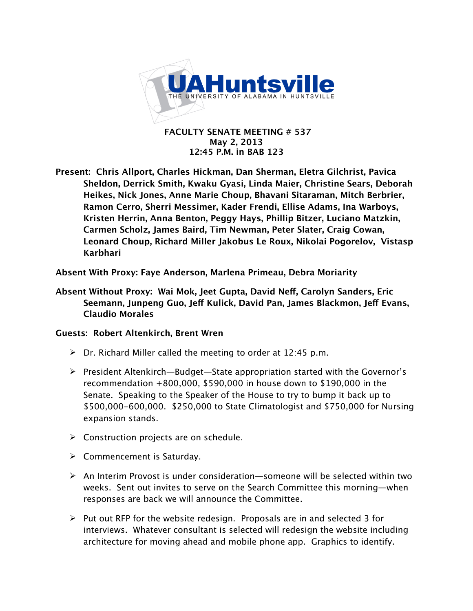

 **FACULTY SENATE MEETING # 537 May 2, 2013 12:45 P.M. in BAB 123**

**Present: Chris Allport, Charles Hickman, Dan Sherman, Eletra Gilchrist, Pavica Sheldon, Derrick Smith, Kwaku Gyasi, Linda Maier, Christine Sears, Deborah Heikes, Nick Jones, Anne Marie Choup, Bhavani Sitaraman, Mitch Berbrier, Ramon Cerro, Sherri Messimer, Kader Frendi, Ellise Adams, Ina Warboys, Kristen Herrin, Anna Benton, Peggy Hays, Phillip Bitzer, Luciano Matzkin, Carmen Scholz, James Baird, Tim Newman, Peter Slater, Craig Cowan, Leonard Choup, Richard Miller Jakobus Le Roux, Nikolai Pogorelov, Vistasp Karbhari**

**Absent With Proxy: Faye Anderson, Marlena Primeau, Debra Moriarity**

**Absent Without Proxy: Wai Mok, Jeet Gupta, David Ne!, Carolyn Sanders, Eric Seemann, Junpeng Guo, Je! Kulick, David Pan, James Blackmon, Je! Evans, Claudio Morales**

## **Guests: Robert Altenkirch, Brent Wren**

- $\triangleright$  Dr. Richard Miller called the meeting to order at 12:45 p.m.
- $\triangleright$  President Altenkirch—Budget—State appropriation started with the Governor's recommendation +800,000, \$590,000 in house down to \$190,000 in the Senate. Speaking to the Speaker of the House to try to bump it back up to \$500,000-600,000. \$250,000 to State Climatologist and \$750,000 for Nursing expansion stands.
- $\triangleright$  Construction projects are on schedule.
- $\triangleright$  Commencement is Saturday.
- $\triangleright$  An Interim Provost is under consideration—someone will be selected within two weeks. Sent out invites to serve on the Search Committee this morning—when responses are back we will announce the Committee.
- $\triangleright$  Put out RFP for the website redesign. Proposals are in and selected 3 for interviews. Whatever consultant is selected will redesign the website including architecture for moving ahead and mobile phone app. Graphics to identify.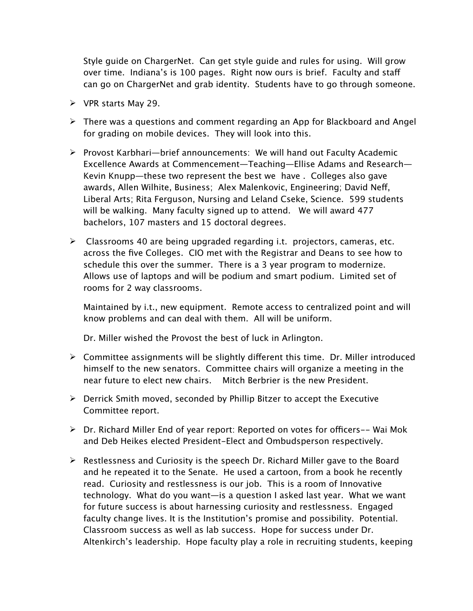Style guide on ChargerNet. Can get style guide and rules for using. Will grow over time. Indiana's is 100 pages. Right now ours is brief. Faculty and staff can go on ChargerNet and grab identity. Students have to go through someone.

- $\triangleright$  VPR starts May 29.
- $\triangleright$  There was a questions and comment regarding an App for Blackboard and Angel for grading on mobile devices. They will look into this.
- $\triangleright$  Provost Karbhari—brief announcements: We will hand out Faculty Academic Excellence Awards at Commencement—Teaching—Ellise Adams and Research— Kevin Knupp—these two represent the best we have . Colleges also gave awards, Allen Wilhite, Business; Alex Malenkovic, Engineering; David Neff, Liberal Arts; Rita Ferguson, Nursing and Leland Cseke, Science. 599 students will be walking. Many faculty signed up to attend. We will award 477 bachelors, 107 masters and 15 doctoral degrees.
- $\triangleright$  Classrooms 40 are being upgraded regarding i.t. projectors, cameras, etc. across the five Colleges. CIO met with the Registrar and Deans to see how to schedule this over the summer. There is a 3 year program to modernize. Allows use of laptops and will be podium and smart podium. Limited set of rooms for 2 way classrooms.

Maintained by i.t., new equipment. Remote access to centralized point and will know problems and can deal with them. All will be uniform.

Dr. Miller wished the Provost the best of luck in Arlington.

- $\triangleright$  Committee assignments will be slightly different this time. Dr. Miller introduced himself to the new senators. Committee chairs will organize a meeting in the near future to elect new chairs. Mitch Berbrier is the new President.
- $\triangleright$  Derrick Smith moved, seconded by Phillip Bitzer to accept the Executive Committee report.
- $\triangleright$  Dr. Richard Miller End of year report: Reported on votes for officers-- Wai Mok and Deb Heikes elected President-Elect and Ombudsperson respectively.
- $\triangleright$  Restlessness and Curiosity is the speech Dr. Richard Miller gave to the Board and he repeated it to the Senate. He used a cartoon, from a book he recently read. Curiosity and restlessness is our job. This is a room of Innovative technology. What do you want—is a question I asked last year. What we want for future success is about harnessing curiosity and restlessness. Engaged faculty change lives. It is the Institution's promise and possibility. Potential. Classroom success as well as lab success. Hope for success under Dr. Altenkirch's leadership. Hope faculty play a role in recruiting students, keeping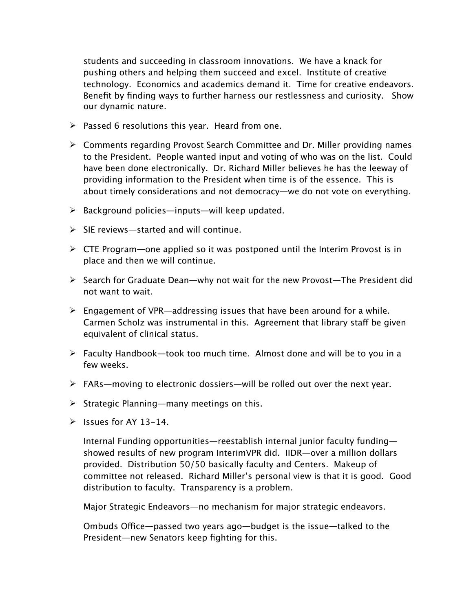students and succeeding in classroom innovations. We have a knack for pushing others and helping them succeed and excel. Institute of creative technology. Economics and academics demand it. Time for creative endeavors. Benefit by finding ways to further harness our restlessness and curiosity. Show our dynamic nature.

- $\triangleright$  Passed 6 resolutions this year. Heard from one.
- $\triangleright$  Comments regarding Provost Search Committee and Dr. Miller providing names to the President. People wanted input and voting of who was on the list. Could have been done electronically. Dr. Richard Miller believes he has the leeway of providing information to the President when time is of the essence. This is about timely considerations and not democracy—we do not vote on everything.
- $\triangleright$  Background policies—inputs—will keep updated.
- $\triangleright$  SIE reviews—started and will continue.
- $\triangleright$  CTE Program—one applied so it was postponed until the Interim Provost is in place and then we will continue.
- $\triangleright$  Search for Graduate Dean—why not wait for the new Provost—The President did not want to wait.
- $\triangleright$  Engagement of VPR—addressing issues that have been around for a while. Carmen Scholz was instrumental in this. Agreement that library staff be given equivalent of clinical status.
- $\triangleright$  Faculty Handbook—took too much time. Almost done and will be to you in a few weeks.
- $\triangleright$  FARs—moving to electronic dossiers—will be rolled out over the next year.
- $\triangleright$  Strategic Planning—many meetings on this.
- $\ge$  Issues for AY 13-14.

Internal Funding opportunities—reestablish internal junior faculty funding showed results of new program InterimVPR did. IIDR—over a million dollars provided. Distribution 50/50 basically faculty and Centers. Makeup of committee not released. Richard Miller's personal view is that it is good. Good distribution to faculty. Transparency is a problem.

Major Strategic Endeavors—no mechanism for major strategic endeavors.

Ombuds Office—passed two years ago—budget is the issue—talked to the President—new Senators keep fighting for this.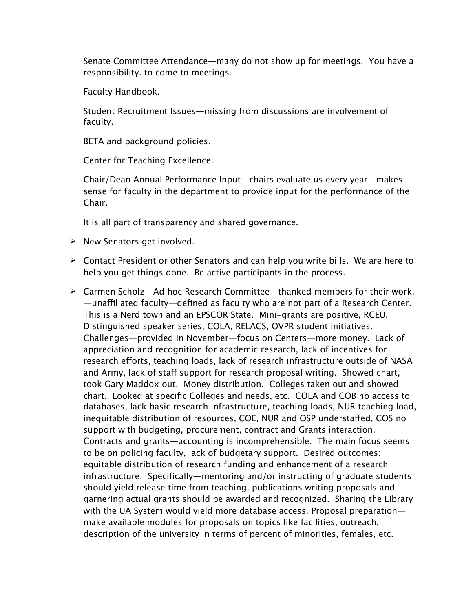Senate Committee Attendance—many do not show up for meetings. You have a responsibility. to come to meetings.

Faculty Handbook.

Student Recruitment Issues—missing from discussions are involvement of faculty.

BETA and background policies.

Center for Teaching Excellence.

Chair/Dean Annual Performance Input—chairs evaluate us every year—makes sense for faculty in the department to provide input for the performance of the Chair.

It is all part of transparency and shared governance.

- $\triangleright$  New Senators get involved.
- $\triangleright$  Contact President or other Senators and can help you write bills. We are here to help you get things done. Be active participants in the process.
- $\triangleright$  Carmen Scholz—Ad hoc Research Committee—thanked members for their work. —una!liated faculty—defined as faculty who are not part of a Research Center. This is a Nerd town and an EPSCOR State. Mini-grants are positive, RCEU, Distinguished speaker series, COLA, RELACS, OVPR student initiatives. Challenges—provided in November—focus on Centers—more money. Lack of appreciation and recognition for academic research, lack of incentives for research efforts, teaching loads, lack of research infrastructure outside of NASA and Army, lack of staff support for research proposal writing. Showed chart, took Gary Maddox out. Money distribution. Colleges taken out and showed chart. Looked at specific Colleges and needs, etc. COLA and COB no access to databases, lack basic research infrastructure, teaching loads, NUR teaching load, inequitable distribution of resources, COE, NUR and OSP understaffed, COS no support with budgeting, procurement, contract and Grants interaction. Contracts and grants—accounting is incomprehensible. The main focus seems to be on policing faculty, lack of budgetary support. Desired outcomes: equitable distribution of research funding and enhancement of a research infrastructure. Specifically—mentoring and/or instructing of graduate students should yield release time from teaching, publications writing proposals and garnering actual grants should be awarded and recognized. Sharing the Library with the UA System would yield more database access. Proposal preparation make available modules for proposals on topics like facilities, outreach, description of the university in terms of percent of minorities, females, etc.